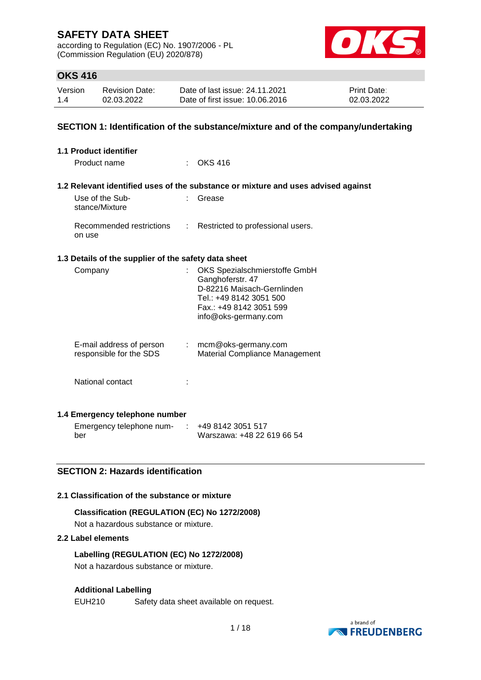according to Regulation (EC) No. 1907/2006 - PL (Commission Regulation (EU) 2020/878)



## **OKS 416**

| Version | <b>Revision Date:</b> | Date of last issue: 24.11.2021  | <b>Print Date:</b> |
|---------|-----------------------|---------------------------------|--------------------|
| 1.4     | 02.03.2022            | Date of first issue: 10.06.2016 | 02.03.2022         |

### **SECTION 1: Identification of the substance/mixture and of the company/undertaking**

| <b>1.1 Product identifier</b>                        |                                                                                                                                                               |
|------------------------------------------------------|---------------------------------------------------------------------------------------------------------------------------------------------------------------|
| Product name                                         | $:$ OKS 416                                                                                                                                                   |
|                                                      |                                                                                                                                                               |
|                                                      | 1.2 Relevant identified uses of the substance or mixture and uses advised against                                                                             |
| Use of the Sub-<br>stance/Mixture                    | Grease                                                                                                                                                        |
| Recommended restrictions<br>on use                   | : Restricted to professional users.                                                                                                                           |
| 1.3 Details of the supplier of the safety data sheet |                                                                                                                                                               |
| Company                                              | OKS Spezialschmierstoffe GmbH<br>Ganghoferstr. 47<br>D-82216 Maisach-Gernlinden<br>Tel.: +49 8142 3051 500<br>Fax.: +49 8142 3051 599<br>info@oks-germany.com |
| E-mail address of person<br>responsible for the SDS  | $:$ mcm@oks-germany.com<br>Material Compliance Management                                                                                                     |
| National contact                                     |                                                                                                                                                               |
| 1.4 Emergency telephone number                       |                                                                                                                                                               |

Emergency telephone num-: +49 8142 3051 517 ber Warszawa: +48 22 619 66 54

## **SECTION 2: Hazards identification**

#### **2.1 Classification of the substance or mixture**

# **Classification (REGULATION (EC) No 1272/2008)**

Not a hazardous substance or mixture.

### **2.2 Label elements**

**Labelling (REGULATION (EC) No 1272/2008)** Not a hazardous substance or mixture.

#### **Additional Labelling**

EUH210 Safety data sheet available on request.

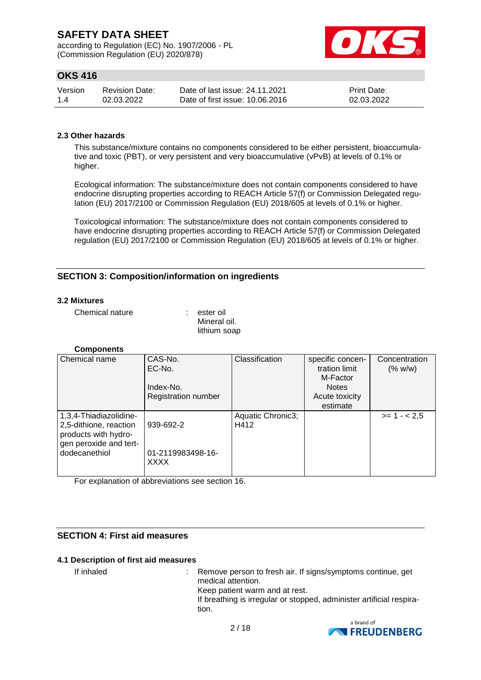according to Regulation (EC) No. 1907/2006 - PL (Commission Regulation (EU) 2020/878)



## **OKS 416**

| Version | Revision Date: | Date of last issue: 24.11.2021  | <b>Print Date:</b> |
|---------|----------------|---------------------------------|--------------------|
| 1.4     | 02.03.2022     | Date of first issue: 10.06.2016 | 02.03.2022         |

### **2.3 Other hazards**

This substance/mixture contains no components considered to be either persistent, bioaccumulative and toxic (PBT), or very persistent and very bioaccumulative (vPvB) at levels of 0.1% or higher.

Ecological information: The substance/mixture does not contain components considered to have endocrine disrupting properties according to REACH Article 57(f) or Commission Delegated regulation (EU) 2017/2100 or Commission Regulation (EU) 2018/605 at levels of 0.1% or higher.

Toxicological information: The substance/mixture does not contain components considered to have endocrine disrupting properties according to REACH Article 57(f) or Commission Delegated regulation (EU) 2017/2100 or Commission Regulation (EU) 2018/605 at levels of 0.1% or higher.

## **SECTION 3: Composition/information on ingredients**

#### **3.2 Mixtures**

Chemical nature : ester oil

Mineral oil. lithium soap

#### **Components**

| Chemical name          | CAS-No.                    | Classification    | specific concen- | Concentration |
|------------------------|----------------------------|-------------------|------------------|---------------|
|                        | EC-No.                     |                   | tration limit    | (% w/w)       |
|                        |                            |                   | M-Factor         |               |
|                        | Index-No.                  |                   | <b>Notes</b>     |               |
|                        | <b>Registration number</b> |                   | Acute toxicity   |               |
|                        |                            |                   | estimate         |               |
| 1,3,4-Thiadiazolidine- |                            | Aquatic Chronic3; |                  | $>= 1 - 2.5$  |
| 2,5-dithione, reaction | 939-692-2                  | H412              |                  |               |
| products with hydro-   |                            |                   |                  |               |
| gen peroxide and tert- |                            |                   |                  |               |
| dodecanethiol          | 01-2119983498-16-          |                   |                  |               |
|                        | <b>XXXX</b>                |                   |                  |               |
|                        |                            |                   |                  |               |

For explanation of abbreviations see section 16.

## **SECTION 4: First aid measures**

#### **4.1 Description of first aid measures**

If inhaled : Remove person to fresh air. If signs/symptoms continue, get medical attention. Keep patient warm and at rest. If breathing is irregular or stopped, administer artificial respiration.

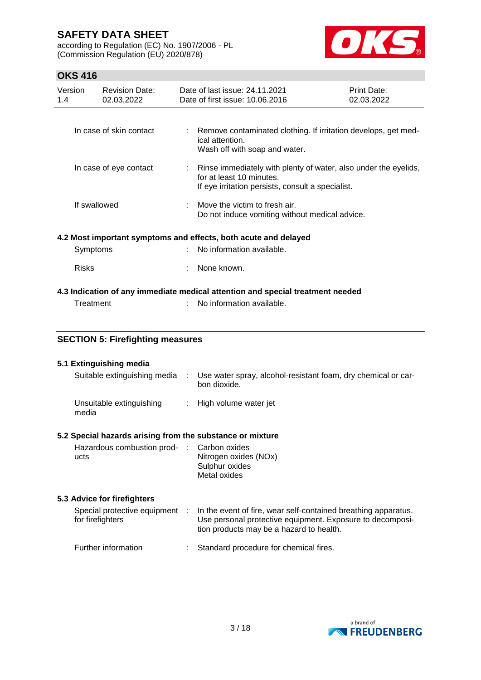according to Regulation (EC) No. 1907/2006 - PL (Commission Regulation (EU) 2020/878)



## **OKS 416**

| Version<br>1.4 | <b>Revision Date:</b><br>02.03.2022 |  | Date of last issue: 24.11.2021<br>Date of first issue: 10.06.2016                                                                                  |  | Print Date:<br>02.03.2022 |  |
|----------------|-------------------------------------|--|----------------------------------------------------------------------------------------------------------------------------------------------------|--|---------------------------|--|
|                | In case of skin contact             |  | : Remove contaminated clothing. If irritation develops, get med-                                                                                   |  |                           |  |
|                |                                     |  | ical attention.<br>Wash off with soap and water.                                                                                                   |  |                           |  |
|                | In case of eye contact              |  | : Rinse immediately with plenty of water, also under the eyelids,<br>for at least 10 minutes.<br>If eye irritation persists, consult a specialist. |  |                           |  |
|                | If swallowed                        |  | Move the victim to fresh air.<br>Do not induce vomiting without medical advice.                                                                    |  |                           |  |
|                |                                     |  | 4.2 Most important symptoms and effects, both acute and delayed                                                                                    |  |                           |  |
|                | Symptoms                            |  | : No information available.                                                                                                                        |  |                           |  |
|                | <b>Risks</b>                        |  | None known.                                                                                                                                        |  |                           |  |
|                |                                     |  | 4.3 Indication of any immediate medical attention and special treatment needed                                                                     |  |                           |  |
|                | Treatment                           |  | No information available.                                                                                                                          |  |                           |  |

# **SECTION 5: Firefighting measures**

#### **5.1 Extinguishing media**

| Suitable extinguishing media      | Use water spray, alcohol-resistant foam, dry chemical or car-<br>bon dioxide. |
|-----------------------------------|-------------------------------------------------------------------------------|
| Unsuitable extinguishing<br>media | : High volume water jet                                                       |

### **5.2 Special hazards arising from the substance or mixture**

| Hazardous combustion prod- : Carbon oxides |                       |
|--------------------------------------------|-----------------------|
| ucts                                       | Nitrogen oxides (NOx) |
|                                            | Sulphur oxides        |
|                                            | Metal oxides          |

#### **5.3 Advice for firefighters**

| Special protective equipment<br>for firefighters |  | In the event of fire, wear self-contained breathing apparatus.<br>Use personal protective equipment. Exposure to decomposi-<br>tion products may be a hazard to health. |  |
|--------------------------------------------------|--|-------------------------------------------------------------------------------------------------------------------------------------------------------------------------|--|
| Further information                              |  | : Standard procedure for chemical fires.                                                                                                                                |  |

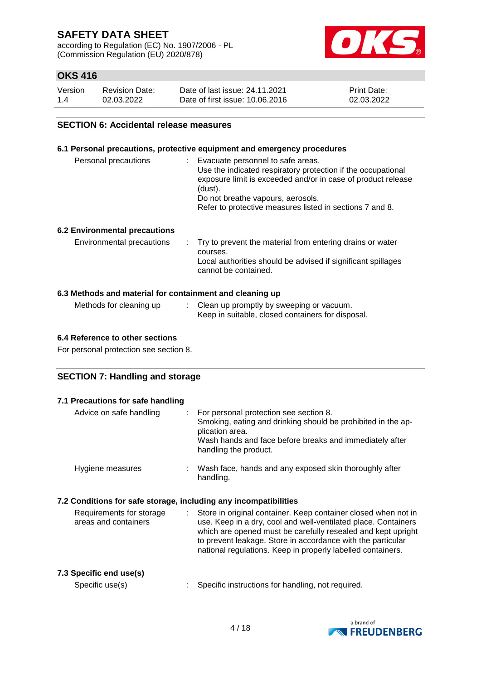according to Regulation (EC) No. 1907/2006 - PL (Commission Regulation (EU) 2020/878)



## **OKS 416**

| Version | <b>Revision Date:</b> | Date of last issue: 24.11.2021  | <b>Print Date:</b> |
|---------|-----------------------|---------------------------------|--------------------|
| 1.4     | 02.03.2022            | Date of first issue: 10.06.2016 | 02.03.2022         |

#### **SECTION 6: Accidental release measures**

#### **6.1 Personal precautions, protective equipment and emergency procedures**

| Personal precautions | Evacuate personnel to safe areas.<br>Use the indicated respiratory protection if the occupational<br>exposure limit is exceeded and/or in case of product release<br>(dust).<br>Do not breathe vapours, aerosols.<br>Refer to protective measures listed in sections 7 and 8. |
|----------------------|-------------------------------------------------------------------------------------------------------------------------------------------------------------------------------------------------------------------------------------------------------------------------------|
|                      |                                                                                                                                                                                                                                                                               |

### **6.2 Environmental precautions**

#### **6.3 Methods and material for containment and cleaning up**

| Methods for cleaning up | Clean up promptly by sweeping or vacuum.          |
|-------------------------|---------------------------------------------------|
|                         | Keep in suitable, closed containers for disposal. |

#### **6.4 Reference to other sections**

For personal protection see section 8.

### **SECTION 7: Handling and storage**

| 7.1 Precautions for safe handling                |                  |                                                                                                                                                                                                                                                                                                                                |
|--------------------------------------------------|------------------|--------------------------------------------------------------------------------------------------------------------------------------------------------------------------------------------------------------------------------------------------------------------------------------------------------------------------------|
| Advice on safe handling                          | t.               | For personal protection see section 8.<br>Smoking, eating and drinking should be prohibited in the ap-<br>plication area.<br>Wash hands and face before breaks and immediately after<br>handling the product.                                                                                                                  |
| Hygiene measures                                 |                  | : Wash face, hands and any exposed skin thoroughly after<br>handling.                                                                                                                                                                                                                                                          |
|                                                  |                  | 7.2 Conditions for safe storage, including any incompatibilities                                                                                                                                                                                                                                                               |
| Requirements for storage<br>areas and containers | $\mathbb{Z}^n$ . | Store in original container. Keep container closed when not in<br>use. Keep in a dry, cool and well-ventilated place. Containers<br>which are opened must be carefully resealed and kept upright<br>to prevent leakage. Store in accordance with the particular<br>national regulations. Keep in properly labelled containers. |
| 7.3 Specific end use(s)<br>Specific use(s)       |                  | Specific instructions for handling, not required.                                                                                                                                                                                                                                                                              |
|                                                  |                  |                                                                                                                                                                                                                                                                                                                                |

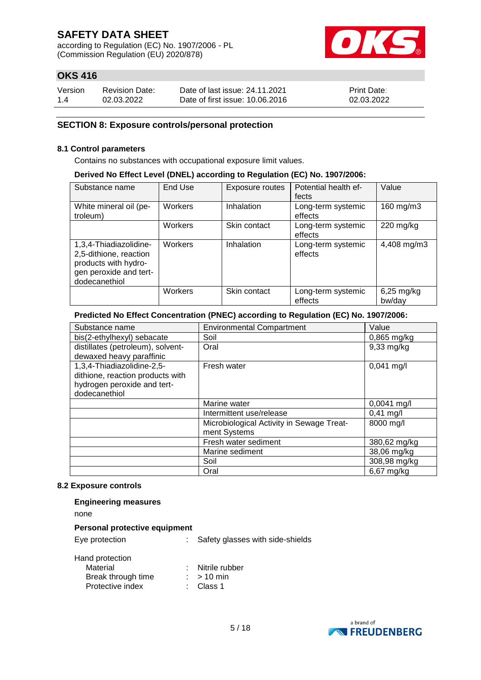according to Regulation (EC) No. 1907/2006 - PL (Commission Regulation (EU) 2020/878)



## **OKS 416**

| Version | <b>Revision Date:</b> | Date of last issue: 24.11.2021  | <b>Print Date:</b> |
|---------|-----------------------|---------------------------------|--------------------|
| 1.4     | 02.03.2022            | Date of first issue: 10.06.2016 | 02.03.2022         |

### **SECTION 8: Exposure controls/personal protection**

#### **8.1 Control parameters**

Contains no substances with occupational exposure limit values.

#### **Derived No Effect Level (DNEL) according to Regulation (EC) No. 1907/2006:**

| Substance name                                                                                                      | End Use        | Exposure routes | Potential health ef-<br>fects | Value                |
|---------------------------------------------------------------------------------------------------------------------|----------------|-----------------|-------------------------------|----------------------|
| White mineral oil (pe-<br>troleum)                                                                                  | <b>Workers</b> | Inhalation      | Long-term systemic<br>effects | 160 mg/m3            |
|                                                                                                                     | Workers        | Skin contact    | Long-term systemic<br>effects | $220$ mg/kg          |
| 1,3,4-Thiadiazolidine-<br>2,5-dithione, reaction<br>products with hydro-<br>gen peroxide and tert-<br>dodecanethiol | Workers        | Inhalation      | Long-term systemic<br>effects | 4,408 mg/m3          |
|                                                                                                                     | Workers        | Skin contact    | Long-term systemic<br>effects | 6,25 mg/kg<br>bw/day |

### **Predicted No Effect Concentration (PNEC) according to Regulation (EC) No. 1907/2006:**

| Substance name                    | <b>Environmental Compartment</b>          | Value         |
|-----------------------------------|-------------------------------------------|---------------|
| bis(2-ethylhexyl) sebacate        | Soil                                      | 0,865 mg/kg   |
| distillates (petroleum), solvent- | Oral                                      | 9,33 mg/kg    |
| dewaxed heavy paraffinic          |                                           |               |
| 1,3,4-Thiadiazolidine-2,5-        | Fresh water                               | $0,041$ mg/l  |
| dithione, reaction products with  |                                           |               |
| hydrogen peroxide and tert-       |                                           |               |
| dodecanethiol                     |                                           |               |
|                                   | Marine water                              | $0,0041$ mg/l |
|                                   | Intermittent use/release                  | $0,41$ mg/l   |
|                                   | Microbiological Activity in Sewage Treat- | 8000 mg/l     |
|                                   | ment Systems                              |               |
|                                   | Fresh water sediment                      | 380,62 mg/kg  |
|                                   | Marine sediment                           | 38,06 mg/kg   |
|                                   | Soil                                      | 308,98 mg/kg  |
|                                   | Oral                                      | 6,67 mg/kg    |

#### **8.2 Exposure controls**

#### **Engineering measures**

none

#### **Personal protective equipment**

Eye protection : Safety glasses with side-shields

#### Hand protection

| Material           | Nitrile rubber |
|--------------------|----------------|
| Break through time | $: > 10$ min   |
| Protective index   | : Class 1      |

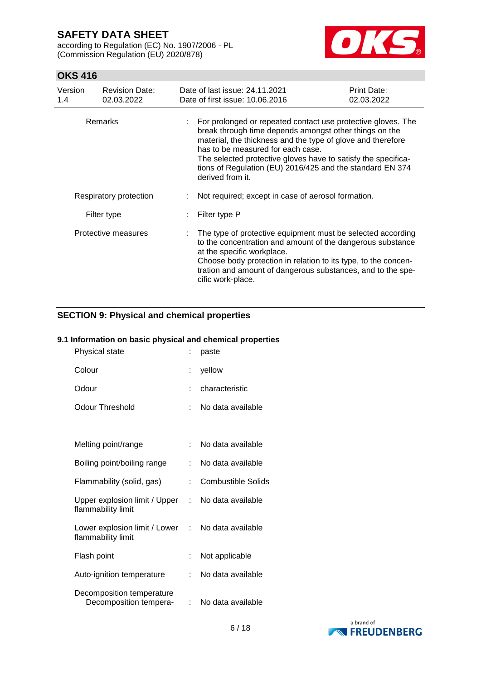according to Regulation (EC) No. 1907/2006 - PL (Commission Regulation (EU) 2020/878)



## **OKS 416**

| Version<br>1.4 | <b>Revision Date:</b><br>02.03.2022 | Date of last issue: 24.11.2021<br>Date of first issue: 10.06.2016                                                                                                                                                                                                                                                                                                            | Print Date:<br>02.03.2022 |
|----------------|-------------------------------------|------------------------------------------------------------------------------------------------------------------------------------------------------------------------------------------------------------------------------------------------------------------------------------------------------------------------------------------------------------------------------|---------------------------|
|                | Remarks                             | For prolonged or repeated contact use protective gloves. The<br>break through time depends amongst other things on the<br>material, the thickness and the type of glove and therefore<br>has to be measured for each case.<br>The selected protective gloves have to satisfy the specifica-<br>tions of Regulation (EU) 2016/425 and the standard EN 374<br>derived from it. |                           |
|                | Respiratory protection              | Not required; except in case of aerosol formation.                                                                                                                                                                                                                                                                                                                           |                           |
|                | Filter type                         | Filter type P                                                                                                                                                                                                                                                                                                                                                                |                           |
|                | Protective measures                 | The type of protective equipment must be selected according<br>to the concentration and amount of the dangerous substance<br>at the specific workplace.<br>Choose body protection in relation to its type, to the concen-<br>tration and amount of dangerous substances, and to the spe-<br>cific work-place.                                                                |                           |

## **SECTION 9: Physical and chemical properties**

### **9.1 Information on basic physical and chemical properties**

| Physical state                                      |    | paste                     |
|-----------------------------------------------------|----|---------------------------|
| Colour                                              | ÷  | yellow                    |
| Odour                                               |    | characteristic            |
| <b>Odour Threshold</b>                              |    | No data available         |
|                                                     |    |                           |
| Melting point/range                                 | t. | No data available         |
| Boiling point/boiling range                         |    | No data available         |
| Flammability (solid, gas)                           | t. | <b>Combustible Solids</b> |
| Upper explosion limit / Upper<br>flammability limit | ÷  | No data available         |
| Lower explosion limit / Lower<br>flammability limit | t. | No data available         |
| Flash point                                         | ÷. | Not applicable            |
| Auto-ignition temperature                           |    | No data available         |
| Decomposition temperature<br>Decomposition tempera- |    | No data available         |

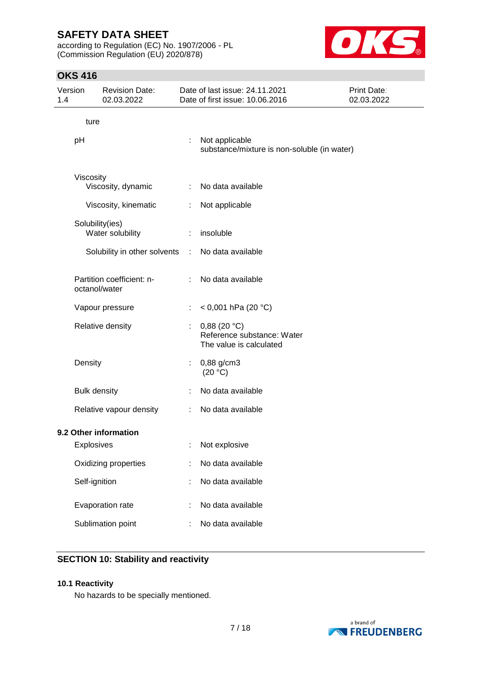according to Regulation (EC) No. 1907/2006 - PL (Commission Regulation (EU) 2020/878)



## **OKS 416**

| Version<br>1.4 |                         | <b>Revision Date:</b><br>02.03.2022        |   | Date of last issue: 24.11.2021<br>Date of first issue: 10.06.2016    | Print Date:<br>02.03.2022 |
|----------------|-------------------------|--------------------------------------------|---|----------------------------------------------------------------------|---------------------------|
|                | ture                    |                                            |   |                                                                      |                           |
|                | pH                      |                                            | ÷ | Not applicable<br>substance/mixture is non-soluble (in water)        |                           |
|                | Viscosity               |                                            |   |                                                                      |                           |
|                |                         | Viscosity, dynamic                         | ÷ | No data available                                                    |                           |
|                |                         | Viscosity, kinematic                       |   | Not applicable                                                       |                           |
|                |                         | Solubility(ies)<br>Water solubility        | ÷ | insoluble                                                            |                           |
|                |                         | Solubility in other solvents               | ÷ | No data available                                                    |                           |
|                |                         | Partition coefficient: n-<br>octanol/water | ÷ | No data available                                                    |                           |
|                |                         | Vapour pressure                            |   | < 0,001 hPa (20 °C)                                                  |                           |
|                |                         | Relative density                           |   | 0,88(20 °C)<br>Reference substance: Water<br>The value is calculated |                           |
|                | Density                 |                                            | ÷ | 0,88 g/cm3<br>(20 °C)                                                |                           |
|                |                         | <b>Bulk density</b>                        | ÷ | No data available                                                    |                           |
|                | Relative vapour density |                                            | ÷ | No data available                                                    |                           |
|                |                         | 9.2 Other information                      |   |                                                                      |                           |
|                | <b>Explosives</b>       |                                            |   | Not explosive                                                        |                           |
|                |                         | Oxidizing properties                       |   | No data available                                                    |                           |
|                | Self-ignition           |                                            |   | No data available                                                    |                           |
|                |                         | Evaporation rate                           |   | No data available                                                    |                           |
|                |                         | Sublimation point                          |   | No data available                                                    |                           |

## **SECTION 10: Stability and reactivity**

#### **10.1 Reactivity**

No hazards to be specially mentioned.

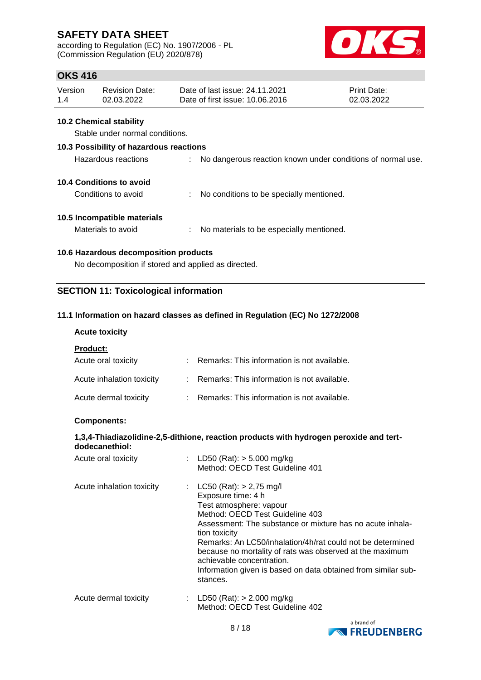according to Regulation (EC) No. 1907/2006 - PL (Commission Regulation (EU) 2020/878)



## **OKS 416**

| Version | Revision Date: | Date of last issue: 24.11.2021  | <b>Print Date:</b> |
|---------|----------------|---------------------------------|--------------------|
| 1.4     | 02.03.2022     | Date of first issue: 10.06.2016 | 02.03.2022         |

#### **10.2 Chemical stability**

Stable under normal conditions.

#### **10.3 Possibility of hazardous reactions**

| Hazardous reactions |  | No dangerous reaction known under conditions of normal use. |
|---------------------|--|-------------------------------------------------------------|
|                     |  |                                                             |

### **10.4 Conditions to avoid**

Conditions to avoid : No conditions to be specially mentioned.

### **10.5 Incompatible materials**

Materials to avoid : No materials to be especially mentioned.

### **10.6 Hazardous decomposition products**

No decomposition if stored and applied as directed.

## **SECTION 11: Toxicological information**

### **11.1 Information on hazard classes as defined in Regulation (EC) No 1272/2008**

### **Acute toxicity**

**Product:**

| Acute oral toxicity       | Remarks: This information is not available.   |
|---------------------------|-----------------------------------------------|
| Acute inhalation toxicity | : Remarks: This information is not available. |
| Acute dermal toxicity     | : Remarks: This information is not available. |

### **Components:**

#### **1,3,4-Thiadiazolidine-2,5-dithione, reaction products with hydrogen peroxide and tertdodecanethiol:**

| Acute oral toxicity       | : LD50 (Rat): $>$ 5.000 mg/kg<br>Method: OECD Test Guideline 401                                                                                                                                                                                                                                                                                                                                                                    |
|---------------------------|-------------------------------------------------------------------------------------------------------------------------------------------------------------------------------------------------------------------------------------------------------------------------------------------------------------------------------------------------------------------------------------------------------------------------------------|
| Acute inhalation toxicity | : $LC50$ (Rat): $> 2,75$ mg/l<br>Exposure time: 4 h<br>Test atmosphere: vapour<br>Method: OECD Test Guideline 403<br>Assessment: The substance or mixture has no acute inhala-<br>tion toxicity<br>Remarks: An LC50/inhalation/4h/rat could not be determined<br>because no mortality of rats was observed at the maximum<br>achievable concentration.<br>Information given is based on data obtained from similar sub-<br>stances. |
| Acute dermal toxicity     | : LD50 (Rat): $> 2.000$ mg/kg<br>Method: OECD Test Guideline 402                                                                                                                                                                                                                                                                                                                                                                    |

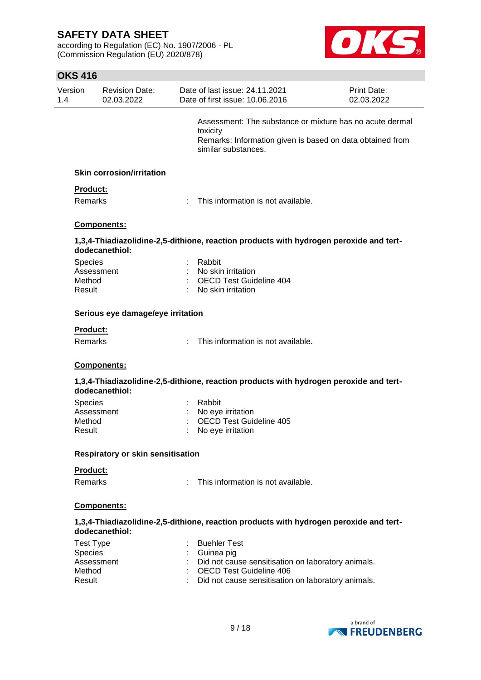according to Regulation (EC) No. 1907/2006 - PL (Commission Regulation (EU) 2020/878)



## **OKS 416**

| Version<br>1.4   | <b>Revision Date:</b><br>02.03.2022      | Date of last issue: 24.11.2021<br>Date of first issue: 10.06.2016                                                                                        | Print Date:<br>02.03.2022 |
|------------------|------------------------------------------|----------------------------------------------------------------------------------------------------------------------------------------------------------|---------------------------|
|                  |                                          | Assessment: The substance or mixture has no acute dermal<br>toxicity<br>Remarks: Information given is based on data obtained from<br>similar substances. |                           |
|                  | <b>Skin corrosion/irritation</b>         |                                                                                                                                                          |                           |
| Product:         |                                          |                                                                                                                                                          |                           |
| <b>Remarks</b>   |                                          | This information is not available.                                                                                                                       |                           |
|                  | <b>Components:</b>                       |                                                                                                                                                          |                           |
|                  | dodecanethiol:                           | 1,3,4-Thiadiazolidine-2,5-dithione, reaction products with hydrogen peroxide and tert-                                                                   |                           |
| <b>Species</b>   |                                          | Rabbit                                                                                                                                                   |                           |
|                  | Assessment                               | No skin irritation                                                                                                                                       |                           |
| Method           |                                          | <b>OECD Test Guideline 404</b>                                                                                                                           |                           |
| Result           |                                          | No skin irritation                                                                                                                                       |                           |
|                  | Serious eye damage/eye irritation        |                                                                                                                                                          |                           |
| <b>Product:</b>  |                                          |                                                                                                                                                          |                           |
| Remarks          |                                          | This information is not available.                                                                                                                       |                           |
|                  | Components:                              |                                                                                                                                                          |                           |
|                  | dodecanethiol:                           | 1,3,4-Thiadiazolidine-2,5-dithione, reaction products with hydrogen peroxide and tert-                                                                   |                           |
| <b>Species</b>   |                                          | Rabbit                                                                                                                                                   |                           |
|                  | Assessment                               | No eye irritation                                                                                                                                        |                           |
| Method           |                                          | OECD Test Guideline 405                                                                                                                                  |                           |
| Result           |                                          | No eye irritation                                                                                                                                        |                           |
|                  | <b>Respiratory or skin sensitisation</b> |                                                                                                                                                          |                           |
| Product:         |                                          |                                                                                                                                                          |                           |
| <b>Remarks</b>   |                                          | This information is not available.                                                                                                                       |                           |
|                  | Components:                              |                                                                                                                                                          |                           |
|                  | dodecanethiol:                           | 1,3,4-Thiadiazolidine-2,5-dithione, reaction products with hydrogen peroxide and tert-                                                                   |                           |
| <b>Test Type</b> |                                          | <b>Buehler Test</b>                                                                                                                                      |                           |
| Species          |                                          | Guinea pig                                                                                                                                               |                           |
|                  | Assessment                               | Did not cause sensitisation on laboratory animals.                                                                                                       |                           |
| Method           |                                          | <b>OECD Test Guideline 406</b>                                                                                                                           |                           |
| Result           |                                          | Did not cause sensitisation on laboratory animals.                                                                                                       |                           |
|                  |                                          |                                                                                                                                                          |                           |

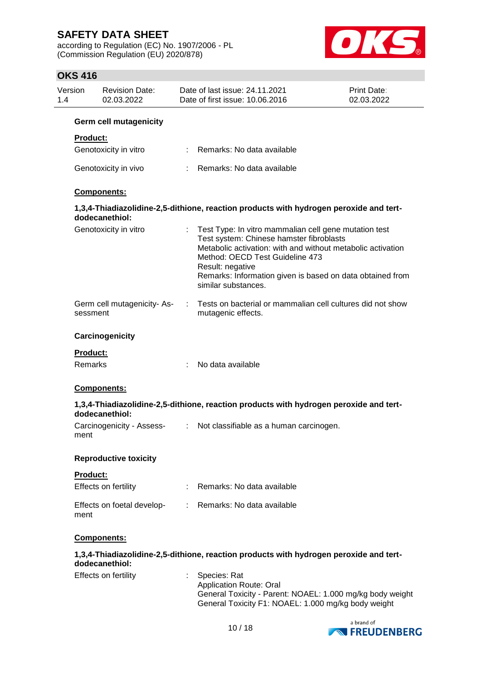according to Regulation (EC) No. 1907/2006 - PL (Commission Regulation (EU) 2020/878)



## **OKS 416**

| Version<br>1.4  | <b>Revision Date:</b><br>02.03.2022    |    | Date of last issue: 24.11.2021<br>Date of first issue: 10.06.2016                                                                                                                                                                                                                                           | <b>Print Date:</b><br>02.03.2022 |
|-----------------|----------------------------------------|----|-------------------------------------------------------------------------------------------------------------------------------------------------------------------------------------------------------------------------------------------------------------------------------------------------------------|----------------------------------|
|                 | <b>Germ cell mutagenicity</b>          |    |                                                                                                                                                                                                                                                                                                             |                                  |
| <b>Product:</b> |                                        |    |                                                                                                                                                                                                                                                                                                             |                                  |
|                 | Genotoxicity in vitro                  |    | : Remarks: No data available                                                                                                                                                                                                                                                                                |                                  |
|                 | Genotoxicity in vivo                   |    | : Remarks: No data available                                                                                                                                                                                                                                                                                |                                  |
|                 | Components:                            |    |                                                                                                                                                                                                                                                                                                             |                                  |
|                 | dodecanethiol:                         |    | 1,3,4-Thiadiazolidine-2,5-dithione, reaction products with hydrogen peroxide and tert-                                                                                                                                                                                                                      |                                  |
|                 | Genotoxicity in vitro                  |    | Test Type: In vitro mammalian cell gene mutation test<br>Test system: Chinese hamster fibroblasts<br>Metabolic activation: with and without metabolic activation<br>Method: OECD Test Guideline 473<br>Result: negative<br>Remarks: Information given is based on data obtained from<br>similar substances. |                                  |
|                 | Germ cell mutagenicity-As-<br>sessment | ÷. | Tests on bacterial or mammalian cell cultures did not show<br>mutagenic effects.                                                                                                                                                                                                                            |                                  |
|                 | Carcinogenicity                        |    |                                                                                                                                                                                                                                                                                                             |                                  |
| <b>Product:</b> |                                        |    |                                                                                                                                                                                                                                                                                                             |                                  |
| <b>Remarks</b>  |                                        |    | No data available                                                                                                                                                                                                                                                                                           |                                  |
|                 | Components:                            |    |                                                                                                                                                                                                                                                                                                             |                                  |
|                 | dodecanethiol:                         |    | 1,3,4-Thiadiazolidine-2,5-dithione, reaction products with hydrogen peroxide and tert-                                                                                                                                                                                                                      |                                  |
| ment            | Carcinogenicity - Assess-              |    | : Not classifiable as a human carcinogen.                                                                                                                                                                                                                                                                   |                                  |
|                 | <b>Reproductive toxicity</b>           |    |                                                                                                                                                                                                                                                                                                             |                                  |
| Product:        |                                        |    |                                                                                                                                                                                                                                                                                                             |                                  |
|                 | Effects on fertility                   |    | Remarks: No data available                                                                                                                                                                                                                                                                                  |                                  |
| ment            | Effects on foetal develop-             |    | : Remarks: No data available                                                                                                                                                                                                                                                                                |                                  |
|                 | Components:                            |    |                                                                                                                                                                                                                                                                                                             |                                  |
|                 | dodecanethiol:                         |    | 1,3,4-Thiadiazolidine-2,5-dithione, reaction products with hydrogen peroxide and tert-                                                                                                                                                                                                                      |                                  |
|                 | Effects on fertility                   |    | Species: Rat<br><b>Application Route: Oral</b><br>General Toxicity - Parent: NOAEL: 1.000 mg/kg body weight<br>General Toxicity F1: NOAEL: 1.000 mg/kg body weight                                                                                                                                          |                                  |
|                 |                                        |    |                                                                                                                                                                                                                                                                                                             | a brand of                       |

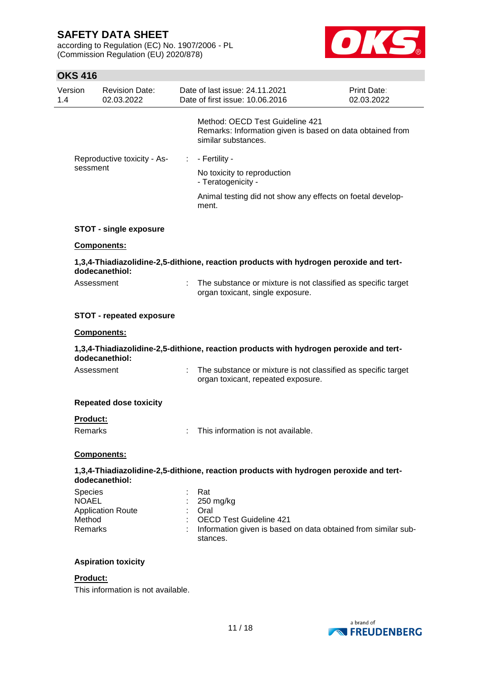according to Regulation (EC) No. 1907/2006 - PL (Commission Regulation (EU) 2020/878)



## **OKS 416**

| Version<br>1.4 |                                              | <b>Revision Date:</b><br>02.03.2022 | Date of last issue: 24.11.2021<br>Date of first issue: 10.06.2016                                                                       | Print Date:<br>02.03.2022 |  |
|----------------|----------------------------------------------|-------------------------------------|-----------------------------------------------------------------------------------------------------------------------------------------|---------------------------|--|
|                |                                              |                                     | Method: OECD Test Guideline 421<br>Remarks: Information given is based on data obtained from<br>similar substances.                     |                           |  |
|                |                                              | Reproductive toxicity - As-         | $: -$ Fertility -                                                                                                                       |                           |  |
|                | sessment                                     |                                     | No toxicity to reproduction<br>- Teratogenicity -                                                                                       |                           |  |
|                |                                              |                                     | Animal testing did not show any effects on foetal develop-<br>ment.                                                                     |                           |  |
|                |                                              | <b>STOT - single exposure</b>       |                                                                                                                                         |                           |  |
|                |                                              | Components:                         |                                                                                                                                         |                           |  |
|                |                                              | dodecanethiol:                      | 1,3,4-Thiadiazolidine-2,5-dithione, reaction products with hydrogen peroxide and tert-                                                  |                           |  |
|                | Assessment                                   |                                     | : The substance or mixture is not classified as specific target<br>organ toxicant, single exposure.                                     |                           |  |
|                |                                              | <b>STOT - repeated exposure</b>     |                                                                                                                                         |                           |  |
|                |                                              | Components:                         |                                                                                                                                         |                           |  |
|                |                                              | dodecanethiol:                      | 1,3,4-Thiadiazolidine-2,5-dithione, reaction products with hydrogen peroxide and tert-                                                  |                           |  |
|                | Assessment                                   |                                     | : The substance or mixture is not classified as specific target<br>organ toxicant, repeated exposure.                                   |                           |  |
|                |                                              | <b>Repeated dose toxicity</b>       |                                                                                                                                         |                           |  |
|                | Product:                                     |                                     |                                                                                                                                         |                           |  |
|                | Remarks                                      |                                     | This information is not available.                                                                                                      |                           |  |
|                |                                              | Components:                         |                                                                                                                                         |                           |  |
|                |                                              | dodecanethiol:                      | 1,3,4-Thiadiazolidine-2,5-dithione, reaction products with hydrogen peroxide and tert-                                                  |                           |  |
|                | Species<br><b>NOAEL</b><br>Method<br>Remarks | <b>Application Route</b>            | Rat<br>250 mg/kg<br>Oral<br><b>OECD Test Guideline 421</b><br>Information given is based on data obtained from similar sub-<br>stances. |                           |  |
|                |                                              | <b>Aspiration toxicity</b>          |                                                                                                                                         |                           |  |

### **Product:**

This information is not available.

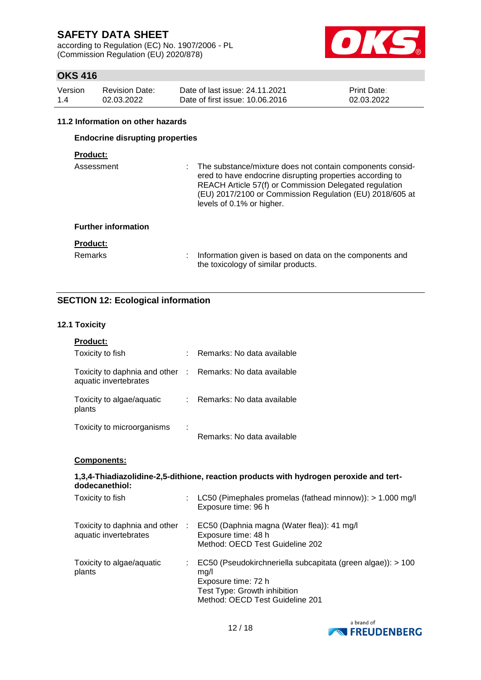according to Regulation (EC) No. 1907/2006 - PL (Commission Regulation (EU) 2020/878)



## **OKS 416**

| Version | <b>Revision Date:</b> | Date of last issue: 24.11.2021  | <b>Print Date:</b> |
|---------|-----------------------|---------------------------------|--------------------|
| 1.4     | 02.03.2022            | Date of first issue: 10.06.2016 | 02.03.2022         |

#### **11.2 Information on other hazards**

## **Endocrine disrupting properties**

## **Product:**

| Assessment                 | The substance/mixture does not contain components consid-<br>ered to have endocrine disrupting properties according to<br>REACH Article 57(f) or Commission Delegated regulation<br>(EU) 2017/2100 or Commission Regulation (EU) 2018/605 at<br>levels of 0.1% or higher. |
|----------------------------|---------------------------------------------------------------------------------------------------------------------------------------------------------------------------------------------------------------------------------------------------------------------------|
| <b>Further information</b> |                                                                                                                                                                                                                                                                           |
| <b>Product:</b>            |                                                                                                                                                                                                                                                                           |
| <b>Remarks</b>             | Information given is based on data on the components and<br>the toxicology of similar products.                                                                                                                                                                           |

## **SECTION 12: Ecological information**

#### **12.1 Toxicity**

| <b>Product:</b>                                                                     |   |                              |
|-------------------------------------------------------------------------------------|---|------------------------------|
| Toxicity to fish                                                                    | ٠ | Remarks: No data available   |
| Toxicity to daphnia and other : Remarks: No data available<br>aquatic invertebrates |   |                              |
| Toxicity to algae/aquatic<br>plants                                                 |   | : Remarks: No data available |
| Toxicity to microorganisms                                                          |   | Remarks: No data available   |
| <b>Components:</b>                                                                  |   |                              |

#### **1,3,4-Thiadiazolidine-2,5-dithione, reaction products with hydrogen peroxide and tertdodecanethiol:**

| Toxicity to fish                                       |    | LC50 (Pimephales promelas (fathead minnow)): $> 1.000$ mg/l<br>Exposure time: 96 h                                                                            |
|--------------------------------------------------------|----|---------------------------------------------------------------------------------------------------------------------------------------------------------------|
| Toxicity to daphnia and other<br>aquatic invertebrates | ÷. | EC50 (Daphnia magna (Water flea)): 41 mg/l<br>Exposure time: 48 h<br>Method: OECD Test Guideline 202                                                          |
| Toxicity to algae/aquatic<br>plants                    |    | EC50 (Pseudokirchneriella subcapitata (green algae)): > 100<br>mq/l<br>Exposure time: 72 h<br>Test Type: Growth inhibition<br>Method: OECD Test Guideline 201 |

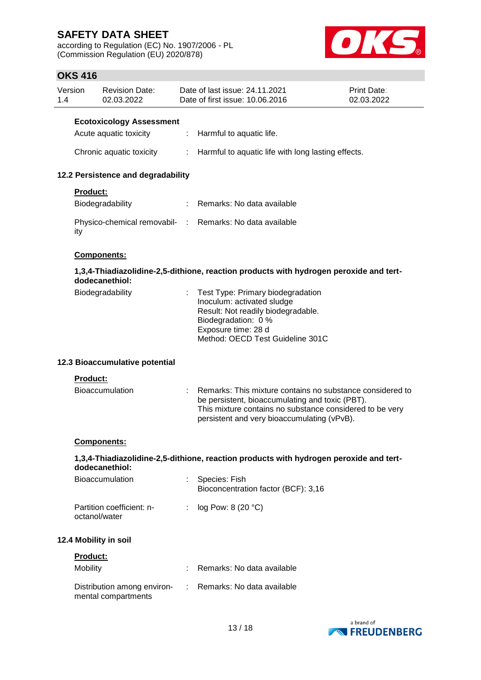according to Regulation (EC) No. 1907/2006 - PL (Commission Regulation (EU) 2020/878)



# **OKS 416**

|                | טוד טווע                                   |                                     |    |                                                                                                                                                                                                                         |                           |
|----------------|--------------------------------------------|-------------------------------------|----|-------------------------------------------------------------------------------------------------------------------------------------------------------------------------------------------------------------------------|---------------------------|
| Version<br>1.4 |                                            | <b>Revision Date:</b><br>02.03.2022 |    | Date of last issue: 24.11.2021<br>Date of first issue: 10.06.2016                                                                                                                                                       | Print Date:<br>02.03.2022 |
|                |                                            | <b>Ecotoxicology Assessment</b>     |    |                                                                                                                                                                                                                         |                           |
|                | Acute aquatic toxicity                     |                                     | ÷. | Harmful to aquatic life.                                                                                                                                                                                                |                           |
|                | Chronic aquatic toxicity                   |                                     | t. | Harmful to aquatic life with long lasting effects.                                                                                                                                                                      |                           |
|                |                                            | 12.2 Persistence and degradability  |    |                                                                                                                                                                                                                         |                           |
|                | Product:                                   |                                     |    |                                                                                                                                                                                                                         |                           |
|                | Biodegradability                           |                                     |    | Remarks: No data available                                                                                                                                                                                              |                           |
|                | ity                                        |                                     |    | Physico-chemical removabil- : Remarks: No data available                                                                                                                                                                |                           |
|                | Components:                                |                                     |    |                                                                                                                                                                                                                         |                           |
|                | dodecanethiol:                             |                                     |    | 1,3,4-Thiadiazolidine-2,5-dithione, reaction products with hydrogen peroxide and tert-                                                                                                                                  |                           |
|                | Biodegradability                           |                                     |    | Test Type: Primary biodegradation<br>Inoculum: activated sludge<br>Result: Not readily biodegradable.<br>Biodegradation: 0 %<br>Exposure time: 28 d<br>Method: OECD Test Guideline 301C                                 |                           |
|                |                                            | 12.3 Bioaccumulative potential      |    |                                                                                                                                                                                                                         |                           |
|                | Product:                                   |                                     |    |                                                                                                                                                                                                                         |                           |
|                | Bioaccumulation                            |                                     |    | Remarks: This mixture contains no substance considered to<br>be persistent, bioaccumulating and toxic (PBT).<br>This mixture contains no substance considered to be very<br>persistent and very bioaccumulating (vPvB). |                           |
|                | <u>Components:</u>                         |                                     |    |                                                                                                                                                                                                                         |                           |
|                | dodecanethiol:                             |                                     |    | 1,3,4-Thiadiazolidine-2,5-dithione, reaction products with hydrogen peroxide and tert-                                                                                                                                  |                           |
|                | Bioaccumulation                            |                                     |    | Species: Fish<br>Bioconcentration factor (BCF): 3,16                                                                                                                                                                    |                           |
|                | Partition coefficient: n-<br>octanol/water |                                     |    | log Pow: 8 (20 °C)                                                                                                                                                                                                      |                           |
|                | 12.4 Mobility in soil                      |                                     |    |                                                                                                                                                                                                                         |                           |
|                | Product:                                   |                                     |    |                                                                                                                                                                                                                         |                           |
|                | Mobility                                   |                                     |    | Remarks: No data available                                                                                                                                                                                              |                           |
|                | mental compartments                        | Distribution among environ-         |    | Remarks: No data available                                                                                                                                                                                              |                           |
|                |                                            |                                     |    |                                                                                                                                                                                                                         |                           |

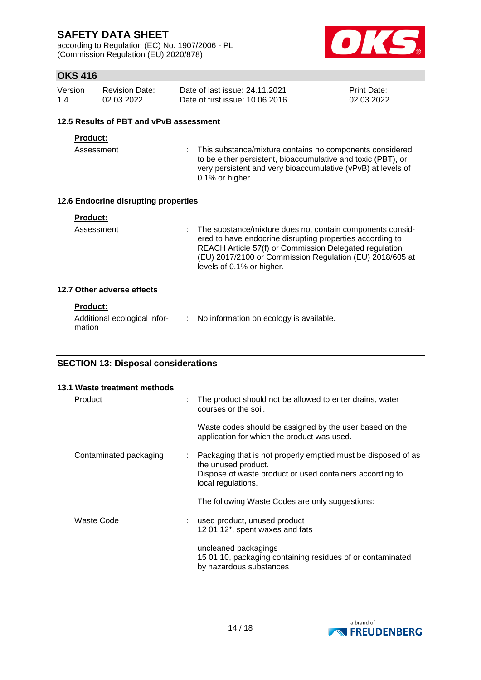according to Regulation (EC) No. 1907/2006 - PL (Commission Regulation (EU) 2020/878)



## **OKS 416**

| Version | Revision Date: | Date of last issue: 24.11.2021  | <b>Print Date:</b> |
|---------|----------------|---------------------------------|--------------------|
| 1.4     | 02.03.2022     | Date of first issue: 10.06.2016 | 02.03.2022         |

#### **12.5 Results of PBT and vPvB assessment**

#### **Product:**

Assessment : This substance/mixture contains no components considered to be either persistent, bioaccumulative and toxic (PBT), or very persistent and very bioaccumulative (vPvB) at levels of 0.1% or higher..

#### **12.6 Endocrine disrupting properties**

| Product: |  |  |  |  |
|----------|--|--|--|--|
|          |  |  |  |  |

Assessment : The substance/mixture does not contain components considered to have endocrine disrupting properties according to REACH Article 57(f) or Commission Delegated regulation (EU) 2017/2100 or Commission Regulation (EU) 2018/605 at levels of 0.1% or higher.

#### **12.7 Other adverse effects**

#### **Product:**

| Additional ecological infor- | No information on ecology is available. |
|------------------------------|-----------------------------------------|
| mation                       |                                         |

## **SECTION 13: Disposal considerations**

|            | 13.1 Waste treatment methods |   |                                                                                                                                                                        |
|------------|------------------------------|---|------------------------------------------------------------------------------------------------------------------------------------------------------------------------|
| Product    |                              | ÷ | The product should not be allowed to enter drains, water<br>courses or the soil.                                                                                       |
|            |                              |   | Waste codes should be assigned by the user based on the<br>application for which the product was used.                                                                 |
|            | Contaminated packaging       | ÷ | Packaging that is not properly emptied must be disposed of as<br>the unused product.<br>Dispose of waste product or used containers according to<br>local regulations. |
|            |                              |   | The following Waste Codes are only suggestions:                                                                                                                        |
| Waste Code |                              |   | used product, unused product<br>12 01 12*, spent waxes and fats                                                                                                        |
|            |                              |   | uncleaned packagings<br>15 01 10, packaging containing residues of or contaminated<br>by hazardous substances                                                          |

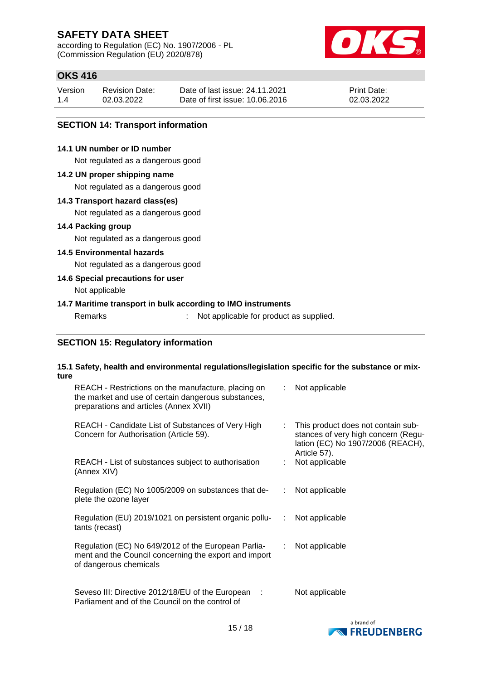according to Regulation (EC) No. 1907/2006 - PL (Commission Regulation (EU) 2020/878)



## **OKS 416**

| Version | <b>Revision Date:</b> | Date of last issue: 24.11.2021  | <b>Print Date:</b> |
|---------|-----------------------|---------------------------------|--------------------|
| 1.4     | 02.03.2022            | Date of first issue: 10.06.2016 | 02.03.2022         |

### **SECTION 14: Transport information**

### **14.1 UN number or ID number**

Not regulated as a dangerous good

#### **14.2 UN proper shipping name**

Not regulated as a dangerous good

#### **14.3 Transport hazard class(es)**

Not regulated as a dangerous good

#### **14.4 Packing group**

Not regulated as a dangerous good

### **14.5 Environmental hazards**

Not regulated as a dangerous good

### **14.6 Special precautions for user**

Not applicable

### **14.7 Maritime transport in bulk according to IMO instruments**

Remarks : Not applicable for product as supplied.

### **SECTION 15: Regulatory information**

#### **15.1 Safety, health and environmental regulations/legislation specific for the substance or mixture**

| REACH - Restrictions on the manufacture, placing on<br>the market and use of certain dangerous substances,<br>preparations and articles (Annex XVII) |    | : Not applicable                                                                                                               |
|------------------------------------------------------------------------------------------------------------------------------------------------------|----|--------------------------------------------------------------------------------------------------------------------------------|
| REACH - Candidate List of Substances of Very High<br>Concern for Authorisation (Article 59).                                                         | t. | This product does not contain sub-<br>stances of very high concern (Regu-<br>lation (EC) No 1907/2006 (REACH),<br>Article 57). |
| REACH - List of substances subject to authorisation<br>(Annex XIV)                                                                                   |    | Not applicable                                                                                                                 |
| Regulation (EC) No 1005/2009 on substances that de-<br>plete the ozone layer                                                                         |    | : Not applicable                                                                                                               |
| Regulation (EU) 2019/1021 on persistent organic pollu-<br>tants (recast)                                                                             |    | : Not applicable                                                                                                               |
| Regulation (EC) No 649/2012 of the European Parlia-<br>ment and the Council concerning the export and import<br>of dangerous chemicals               |    | : Not applicable                                                                                                               |
| Seveso III: Directive 2012/18/EU of the European :<br>Parliament and of the Council on the control of                                                |    | Not applicable                                                                                                                 |

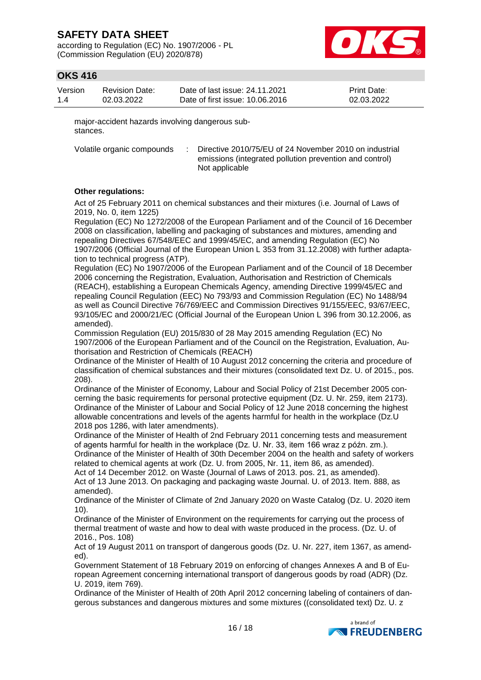according to Regulation (EC) No. 1907/2006 - PL (Commission Regulation (EU) 2020/878)



## **OKS 416**

| Version | <b>Revision Date:</b> | Date of last issue: 24.11.2021  | <b>Print Date:</b> |
|---------|-----------------------|---------------------------------|--------------------|
| 1.4     | 02.03.2022            | Date of first issue: 10.06.2016 | 02.03.2022         |

major-accident hazards involving dangerous substances.

Volatile organic compounds : Directive 2010/75/EU of 24 November 2010 on industrial emissions (integrated pollution prevention and control) Not applicable

#### **Other regulations:**

Act of 25 February 2011 on chemical substances and their mixtures (i.e. Journal of Laws of 2019, No. 0, item 1225)

Regulation (EC) No 1272/2008 of the European Parliament and of the Council of 16 December 2008 on classification, labelling and packaging of substances and mixtures, amending and repealing Directives 67/548/EEC and 1999/45/EC, and amending Regulation (EC) No 1907/2006 (Official Journal of the European Union L 353 from 31.12.2008) with further adaptation to technical progress (ATP).

Regulation (EC) No 1907/2006 of the European Parliament and of the Council of 18 December 2006 concerning the Registration, Evaluation, Authorisation and Restriction of Chemicals (REACH), establishing a European Chemicals Agency, amending Directive 1999/45/EC and repealing Council Regulation (EEC) No 793/93 and Commission Regulation (EC) No 1488/94 as well as Council Directive 76/769/EEC and Commission Directives 91/155/EEC, 93/67/EEC, 93/105/EC and 2000/21/EC (Official Journal of the European Union L 396 from 30.12.2006, as amended).

Commission Regulation (EU) 2015/830 of 28 May 2015 amending Regulation (EC) No 1907/2006 of the European Parliament and of the Council on the Registration, Evaluation, Authorisation and Restriction of Chemicals (REACH)

Ordinance of the Minister of Health of 10 August 2012 concerning the criteria and procedure of classification of chemical substances and their mixtures (consolidated text Dz. U. of 2015., pos. 208).

Ordinance of the Minister of Economy, Labour and Social Policy of 21st December 2005 concerning the basic requirements for personal protective equipment (Dz. U. Nr. 259, item 2173). Ordinance of the Minister of Labour and Social Policy of 12 June 2018 concerning the highest allowable concentrations and levels of the agents harmful for health in the workplace (Dz.U 2018 pos 1286, with later amendments).

Ordinance of the Minister of Health of 2nd February 2011 concerning tests and measurement of agents harmful for health in the workplace (Dz. U. Nr. 33, item 166 wraz z późn. zm.).

Ordinance of the Minister of Health of 30th December 2004 on the health and safety of workers related to chemical agents at work (Dz. U. from 2005, Nr. 11, item 86, as amended).

Act of 14 December 2012. on Waste (Journal of Laws of 2013. pos. 21, as amended). Act of 13 June 2013. On packaging and packaging waste Journal. U. of 2013. Item. 888, as amended).

Ordinance of the Minister of Climate of 2nd January 2020 on Waste Catalog (Dz. U. 2020 item 10).

Ordinance of the Minister of Environment on the requirements for carrying out the process of thermal treatment of waste and how to deal with waste produced in the process. (Dz. U. of 2016., Pos. 108)

Act of 19 August 2011 on transport of dangerous goods (Dz. U. Nr. 227, item 1367, as amended).

Government Statement of 18 February 2019 on enforcing of changes Annexes A and B of European Agreement concerning international transport of dangerous goods by road (ADR) (Dz. U. 2019, item 769).

Ordinance of the Minister of Health of 20th April 2012 concerning labeling of containers of dangerous substances and dangerous mixtures and some mixtures ((consolidated text) Dz. U. z

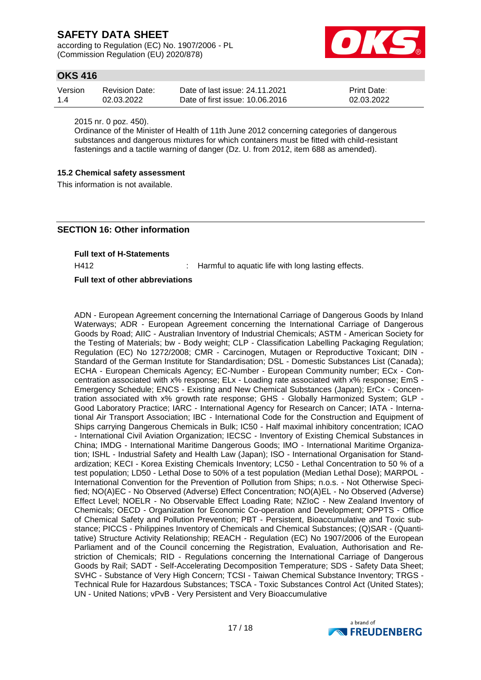according to Regulation (EC) No. 1907/2006 - PL (Commission Regulation (EU) 2020/878)



## **OKS 416**

| Version | <b>Revision Date:</b> | Date of last issue: 24.11.2021  | <b>Print Date:</b> |
|---------|-----------------------|---------------------------------|--------------------|
| 1.4     | 02.03.2022            | Date of first issue: 10.06.2016 | 02.03.2022         |

2015 nr. 0 poz. 450).

Ordinance of the Minister of Health of 11th June 2012 concerning categories of dangerous substances and dangerous mixtures for which containers must be fitted with child-resistant fastenings and a tactile warning of danger (Dz. U. from 2012, item 688 as amended).

#### **15.2 Chemical safety assessment**

This information is not available.

### **SECTION 16: Other information**

**Full text of H-Statements**

H412 : Harmful to aquatic life with long lasting effects.

#### **Full text of other abbreviations**

ADN - European Agreement concerning the International Carriage of Dangerous Goods by Inland Waterways; ADR - European Agreement concerning the International Carriage of Dangerous Goods by Road; AIIC - Australian Inventory of Industrial Chemicals; ASTM - American Society for the Testing of Materials; bw - Body weight; CLP - Classification Labelling Packaging Regulation; Regulation (EC) No 1272/2008; CMR - Carcinogen, Mutagen or Reproductive Toxicant; DIN - Standard of the German Institute for Standardisation; DSL - Domestic Substances List (Canada); ECHA - European Chemicals Agency; EC-Number - European Community number; ECx - Concentration associated with x% response; ELx - Loading rate associated with x% response; EmS - Emergency Schedule; ENCS - Existing and New Chemical Substances (Japan); ErCx - Concentration associated with x% growth rate response; GHS - Globally Harmonized System; GLP - Good Laboratory Practice; IARC - International Agency for Research on Cancer; IATA - International Air Transport Association; IBC - International Code for the Construction and Equipment of Ships carrying Dangerous Chemicals in Bulk; IC50 - Half maximal inhibitory concentration; ICAO - International Civil Aviation Organization; IECSC - Inventory of Existing Chemical Substances in China; IMDG - International Maritime Dangerous Goods; IMO - International Maritime Organization; ISHL - Industrial Safety and Health Law (Japan); ISO - International Organisation for Standardization; KECI - Korea Existing Chemicals Inventory; LC50 - Lethal Concentration to 50 % of a test population; LD50 - Lethal Dose to 50% of a test population (Median Lethal Dose); MARPOL - International Convention for the Prevention of Pollution from Ships; n.o.s. - Not Otherwise Specified; NO(A)EC - No Observed (Adverse) Effect Concentration; NO(A)EL - No Observed (Adverse) Effect Level; NOELR - No Observable Effect Loading Rate; NZIoC - New Zealand Inventory of Chemicals; OECD - Organization for Economic Co-operation and Development; OPPTS - Office of Chemical Safety and Pollution Prevention; PBT - Persistent, Bioaccumulative and Toxic substance; PICCS - Philippines Inventory of Chemicals and Chemical Substances; (Q)SAR - (Quantitative) Structure Activity Relationship; REACH - Regulation (EC) No 1907/2006 of the European Parliament and of the Council concerning the Registration, Evaluation, Authorisation and Restriction of Chemicals; RID - Regulations concerning the International Carriage of Dangerous Goods by Rail; SADT - Self-Accelerating Decomposition Temperature; SDS - Safety Data Sheet; SVHC - Substance of Very High Concern; TCSI - Taiwan Chemical Substance Inventory; TRGS - Technical Rule for Hazardous Substances; TSCA - Toxic Substances Control Act (United States); UN - United Nations; vPvB - Very Persistent and Very Bioaccumulative